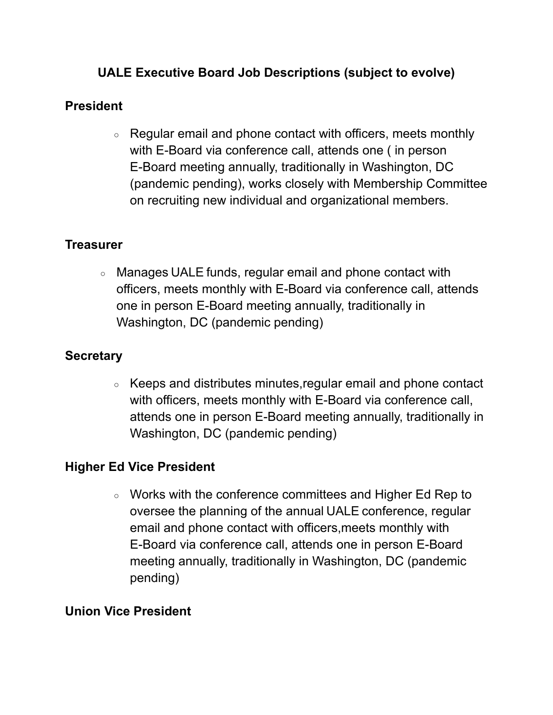# **UALE Executive Board Job Descriptions (subject to evolve)**

## **President**

○ Regular email and phone contact with officers, meets monthly with E-Board via conference call, attends one ( in person E-Board meeting annually, traditionally in Washington, DC (pandemic pending), works closely with Membership Committee on recruiting new individual and organizational members.

## **Treasurer**

○ Manages UALE funds, regular email and phone contact with officers, meets monthly with E-Board via conference call, attends one in person E-Board meeting annually, traditionally in Washington, DC (pandemic pending)

## **Secretary**

○ Keeps and distributes minutes,regular email and phone contact with officers, meets monthly with E-Board via conference call, attends one in person E-Board meeting annually, traditionally in Washington, DC (pandemic pending)

## **Higher Ed Vice President**

○ Works with the conference committees and Higher Ed Rep to oversee the planning of the annual UALE conference, regular email and phone contact with officers,meets monthly with E-Board via conference call, attends one in person E-Board meeting annually, traditionally in Washington, DC (pandemic pending)

## **Union Vice President**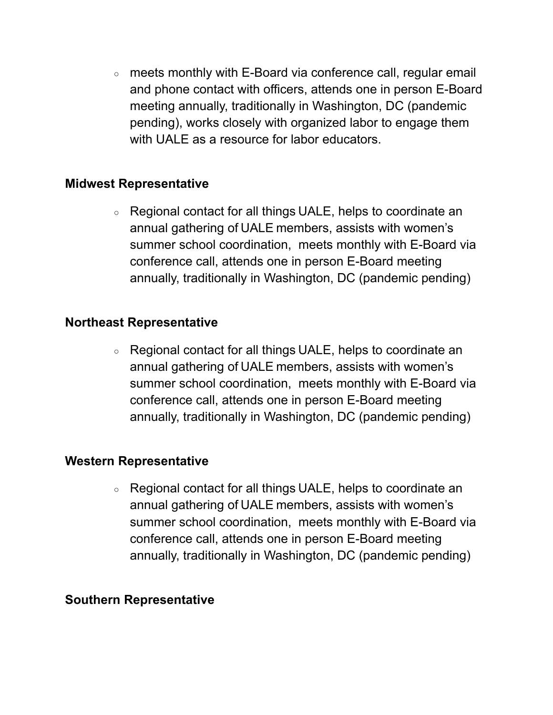○ meets monthly with E-Board via conference call, regular email and phone contact with officers, attends one in person E-Board meeting annually, traditionally in Washington, DC (pandemic pending), works closely with organized labor to engage them with UALE as a resource for labor educators.

#### **Midwest Representative**

○ Regional contact for all things UALE, helps to coordinate an annual gathering of UALE members, assists with women's summer school coordination, meets monthly with E-Board via conference call, attends one in person E-Board meeting annually, traditionally in Washington, DC (pandemic pending)

#### **Northeast Representative**

○ Regional contact for all things UALE, helps to coordinate an annual gathering of UALE members, assists with women's summer school coordination, meets monthly with E-Board via conference call, attends one in person E-Board meeting annually, traditionally in Washington, DC (pandemic pending)

### **Western Representative**

○ Regional contact for all things UALE, helps to coordinate an annual gathering of UALE members, assists with women's summer school coordination, meets monthly with E-Board via conference call, attends one in person E-Board meeting annually, traditionally in Washington, DC (pandemic pending)

#### **Southern Representative**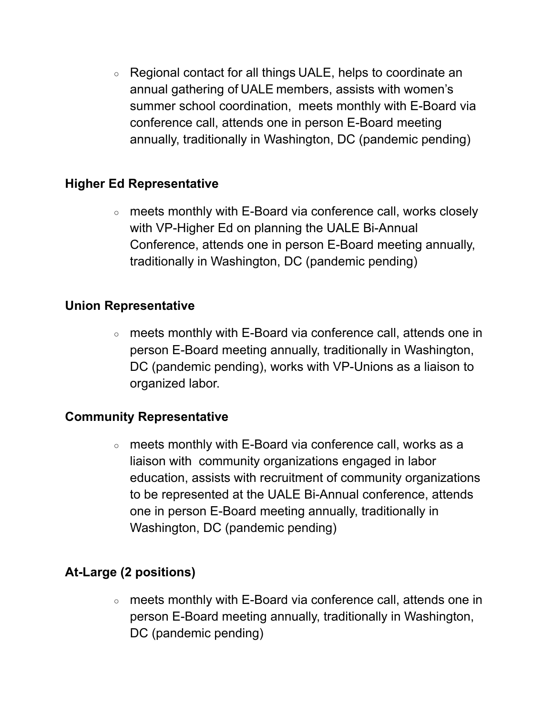○ Regional contact for all things UALE, helps to coordinate an annual gathering of UALE members, assists with women's summer school coordination, meets monthly with E-Board via conference call, attends one in person E-Board meeting annually, traditionally in Washington, DC (pandemic pending)

### **Higher Ed Representative**

○ meets monthly with E-Board via conference call, works closely with VP-Higher Ed on planning the UALE Bi-Annual Conference, attends one in person E-Board meeting annually, traditionally in Washington, DC (pandemic pending)

### **Union Representative**

○ meets monthly with E-Board via conference call, attends one in person E-Board meeting annually, traditionally in Washington, DC (pandemic pending), works with VP-Unions as a liaison to organized labor.

### **Community Representative**

○ meets monthly with E-Board via conference call, works as a liaison with community organizations engaged in labor education, assists with recruitment of community organizations to be represented at the UALE Bi-Annual conference, attends one in person E-Board meeting annually, traditionally in Washington, DC (pandemic pending)

# **At-Large (2 positions)**

○ meets monthly with E-Board via conference call, attends one in person E-Board meeting annually, traditionally in Washington, DC (pandemic pending)